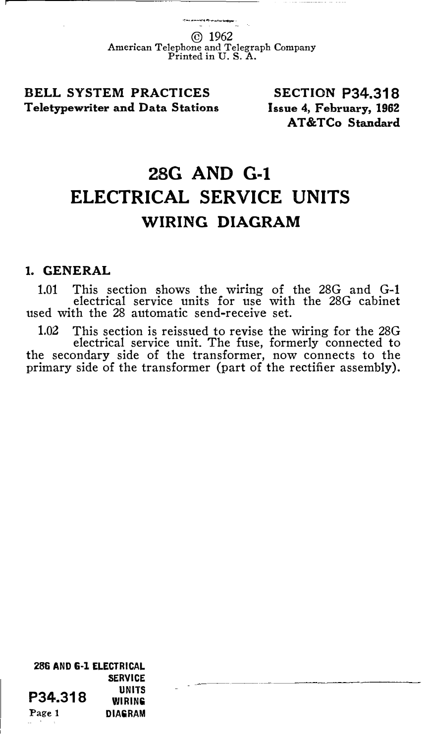© 1962 American Telephone and Telegraph Company Printed in U.S. A.

BELL SYSTEM PRACTICES Teletypewriter and Data Stations

SECTION P34.318 Issue 4, February, 1962 AT&TCo Standard

# 28G AND G-1 ELECTRICAL SERVICE UNITS WIRING DIAGRAM

#### 1. GENERAL

1.01 This section shows the wiring of the 28G and G-1 electrical service units for use with the 28G cabinet used with the 28 automatic send-receive set.

1.02 This section is reissued to revise the wiring for the 28G electrical service unit. The fuse, formerly connected to the secondary side of the transformer, now connects to the primary side of the transformer (part of the rectifier assembly).

286 AND G-1 ELECTRICAL SERVICE **P34.318** WIRING Page 1 DIAGRAM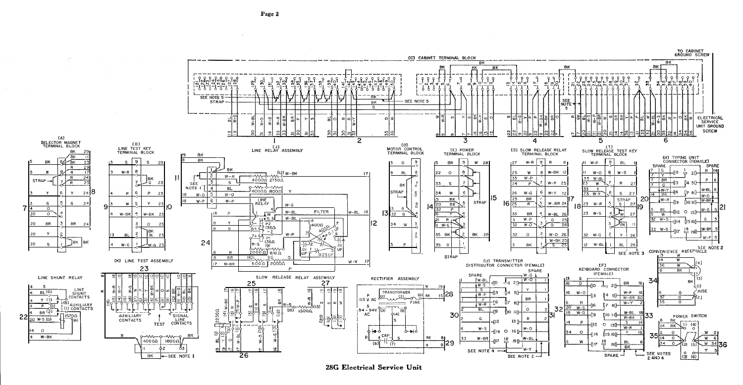TO CABINET GROUND SCREW **[C] CABINET TERMINAL BLOCK** BK **BK** BK. `ot  $\overline{\mathbf{p}}$ a company and company and company and - 1 -۲ ماره لماره له<br>۱۳ ماره افراد<br>۱۳ ماره کولو کولو -<br>เทคโตโตโตโตโตโตโ <u>alan 1an alan </u>  $\begin{bmatrix} \hat{\gamma} & \hat{\gamma} & \hat{\gamma} \\ -\frac{1}{6} & \frac{1}{6} & \frac{1}{6} \end{bmatrix}$ \_្ដ្រិ ĭĭ٢  $25$ متلمنا  $\overline{\nu}_i$  $\frac{5}{2}$ 胬 نہ تہ ا တ္ တ  $\tilde{\omega}_1 \tilde{\omega}_1 \tilde{\omega}_1 \tilde{\omega}_1$ רב<sup>ב</sup>ת 60.01.01.01 ו⊤ו⊤ו SEE NOTE 5 SEE NOTE 5 **STRAP**  $\overline{\mathbf{B}}$ K NOTE  $\overline{s}$ -5 일원한  $\frac{1}{16}$ ີ ຈົດລ ᄢᆐᇢᆔᆇ  $\alpha$ ≍اءاد ᆂऻ**ᆲ**ᆈᆇऻ୷ **ELECTRICAL** ᆐᇰ 뭬  $\circ$ SERVICE UNIT GROUND SCREW 읭꾑 리리의의학 امام  $\sqrt{2}$ **TAT**  $\overline{2}$ 3  $\overline{5}$ 6 4 SELECTOR MAGNET EBJ ED]<br>MOTOR CONTROL<br>TERMINAL BLOCK  $0.33$ ETJ<br>SLOW RELEASE TEST KEY<br>TERMINAL BLOCK LINE TEST KEY LINE RELAY ASSEMBLY (E) POWER **ES1 SLOW RELEASE RELAY** BK TERMINAL BLOCK TERMINAL BLOCK TERMINAL BLOCK BK ERI TYPING UNIT<br>CONNECTOR (FEMALE) RЬ  $BK$  $\overline{\mathbf{9}}$ **BK**  $\overline{9}$ Γ9Γ  $\sqrt{a}$  $27$  $\Omega$ **BR**  $W$  28  $W - R$  $\theta$  $W - P$ SPARE SPARE  $2s$ **DK** Ϊŝ  $-0.70 - 0.12w - BK$  $\Omega$  $\overline{R}$ 77  $W - P$  $\circ$  $W - RK = 12$  $W-O$  $|7|$  $w-S$  $W - R$ ΠΥ  $\overline{24}$  $\overline{33}$  $W - P$ 33 W-BL lak  $4000022500$ **TAR** STRAP- $\overline{23}$ Z,  $\overline{G}$ -s  $\overline{2}$ SEE 33  $\overline{24}$ ᅮ W-P 25  $\overline{23}$  $\overline{\mathsf{w}}$ ℸ∘  $R$ p-mod-my NOTE I  $BL$ Ιā  $T_{\rm W-Y}$  $100000$   $18000$  $248$ TRAP  $\blacksquare$  $3 W-Y$ 27  $\overline{2}$ 34  $W-G$  $W-Y$  12 14 सिंह न  $W - Q$  $W - Q$ lw-ni 15 20  $W-R$  19  $BK$  $\overline{25}$  $\overline{BR}$  $\begin{array}{c|c}\n\hline\n\text{STRAP} \\
\hline\n\text{S} & 27\n\end{array}$ **LINE**<br>RELAY  $W-P$   $\overline{6}$  $W-P$ W-BK  $\frac{1}{2}$ **STRAP**  $24$  $\overline{B}K$  $16\overline{25}$  $\overline{P}$  $W-BR$  2  $20$ 23  $W - R$  $W-G$ IB  $\Omega$ 14 S  $\overline{\circ}$ उट  $\overline{P}$  $BL$ 岚  $N - \Omega$ **FILTER**  $W-BL$ -1112  $O$   $13$ <sup>1</sup> il6  $\mathbf{D}$ N-BL  $13$  $\overline{\circ}$ ГM  $\overline{\mathsf{r}}$  $W - 8K$ 4  $W-BK$  2 32  $\mathsf{G}$ 23  $W-S$  $W$  $\frac{1}{3}$  =  $\frac{1}{3}$  =  $\frac{1}{3}$  =  $\frac{1}{3}$ <br> $\frac{1}{3}$  =  $\frac{1}{3}$  =  $\frac{1}{3}$  =  $\frac{1}{3}$  $W - BL$  $W-S$ G  $R_{\mathcal{L}}$  $W - P$  $\overline{G}$  $\overline{25}$  $114$ I2 ปีเราคน  $\ddot{\mathbf{v}}$  $F_{\rm BK}$ 8R 8R 5400Ω  $W-G$  $-26$  $\frac{1}{400}$ w  $\overline{32}$  $W - O$ 70  $\overline{\mathbf{G}}$  $u = c$ W-BR **JBK**  $-2$ rell- $\gamma$ +  $\frac{1}{\gamma}$  =  $\frac{5}{\gamma}$ <br>  $w$ -s  $\frac{1360}{9}$  $W - P$  $\overline{R}$ l BL S 1 35 BK 32  $W-O$  26  $32 W - G$  $W - F$  $W-BK$  25 24 lav  $W-G$  2 ᅐ  $\overline{2}$  $W - H$ **BL** 26 SEE\_NOTE 2  $200000$  and  $20000$ -m~o SEE NOTE 3 CONVENIENCE RECEPTACLE  $\mathbf{p}$  $0.25$  Uf  $BR$  $\overline{1101}$ ັດປ **STRAP**  $\Omega$ IK] LINE TEST ASSEMBLY  $\overline{w}$  $W - Y$ **LUJ TRANSMITTER**  $6000$  20000  $W-BR$ EF1 DISTRIBUTOR CONNECTOR (FEMALE)  $W$ 23  $\mathbf{P}$ KEYBOARD CONNECTOR  $8K$ SPARE (FEMALE) SPARE  $W-G$ LINE SHUNT RELAY SLOW RELEASE RELAY ASSEMBLY RECTIFIER ASSEMBLY (3) W-BL 34  $\sqrt{(W-Q)^2}$ **BK** 25  $27$ **BR**  $16.1$ ᅙ  $P<sub>O</sub>$  $W-S$  $2<sub>0</sub>$ 60)  $\sim$ LINE<br>SHUNT<br>CONTACTS ΤsΤ  $BL(6)$ ∕ FUSE. TRANSFORMER  $W - Q$  $W-P$ 28 willow  $(6)$  ax  $W-P$ Þ  $5$ <sup>-</sup> W-BR ľ(2) II5 V AC  $Y(7)$  $\Box p$ **BR** ÷ <sup>‰|</sup>w–s  $=$  Fuse  $\overline{R}$ (6)<br>| (1) AUXILIARY<br>| (1) CONTACTS ≻∧∧≻≥ี่ใแ5) ๊  $\sim$ 16  $W - Y$  $\overline{\phantom{0}}$  $\overline{LW-R}$  $n_{\rm z}$ ┮ s  $94 - 94V$   $(3) 1$  $20 W-S$  $\simeq$ ूँड्रि  $\frac{1}{2}$  $(16)$  1500 $\Omega$  $\overline{BL}$ 32 \_ລ,  $\Omega$ d JП  $18 W - G$  $_{BR}$  (2) ⊴9≝ nio un  $W-BL$ . . . . . . . . . g AC  $\phi(4)$ -19 fire inf- $22_{20 \text{ W-S}}^{+}$ 30 15700 **AUXILIARY** SIGNAL POWER SWITCH  $W-BK$ LINE<br>CONTACTS CONTACTS **BK** 130 P  $\overline{\mathsf{s}}$ **TEST** -412  $O$   $13$ <sup>1</sup>  $(1)$  (4) नुमन्नः  $14$  BK . .. .. . . Ē  $W-R$ ĝ.  $W-S$ ം ₩  $O$   $16$  $\Omega$  $\circ$  $\circ$ ▽  $\Omega$ ■ 이 ll 14 115160-**BR** - co CAP 35  $0 - 1$  $\circ$  $W - BK$ **BK**  $\mathbf{B}$  $\Omega$ w  $W - BR$  $N - n$  $40000$ 18000 W 교29 (B - (7) 817 -190  $W$  34 $\overline{z}$ (2) 15  $\overline{B}K$ 63 의 의 SEE NOTE 4  $N |{}^{\circ}_{\text{3}} \text{ }{}^{\circ}_{\text{6}}|$  $SPARE -$ SEE NOTES  $BK$  $-$  SEE NOTE  $\mathbf 1$ 26 SEE NOTE  $2$  $2$  AND  $4$ 

28G Electrical Service Unit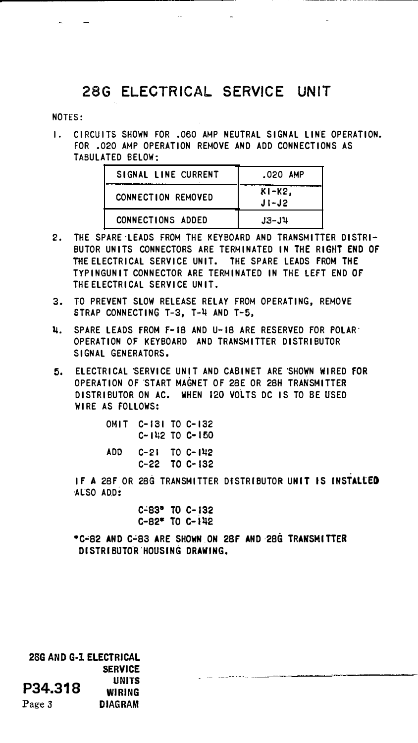### 28G ELECTRICAL SERVICE UNIT

#### NOTES:

I. CIRCUITS SHOWN FOR .060 AMP NEUTRAL SIGNAL LINE OPERATION. FOR .020 AMP OPERATION REMOVE AND ADD CONNECTIONS AS TABULATED BELOW·

| SIGNAL LINE CURRENT       | .020 AMP             |
|---------------------------|----------------------|
| <b>CONNECTION REMOVED</b> | $K1-K2$<br>$J1 - J2$ |
| <b>CONNECTIONS ADDED</b>  | $J3 - J4$            |

- 2. THE SPARE·LEADS FROM THE KEYBOARD AND TRANSMITTER DISTRI-BUTOR UNITS CONNECTORS ARE TERMINATED IN THE RIGHT END OF THE ELECTRICAL SERVICE UNIT. THE SPARE LEADS FROM THE TYPINGUNIT CONNECTOR ARE TERMINATED IN THE lEfT END OF THE ELECTRICAL SERVICE UN IT .
- 3. TO PREVENT SLOW RELEASE RELAY FROM OPERATING, REMOVE STRAP CONNECTING T-3, T-4 AND T-5,
- ij. SPARE LEADS FROM f-18 AND U-18 ARE RESERVED fOR POLAR· OPERATION OF KEYBOARD AND TRANSMITTER DISTRIBUTOR SIGNAL GENERATORS.
- 5. ELECTRICAL SERVICE UNIT AND CABINET ARE SHOWN WIRED fOR OPERATION OF START MAGNET OF 28E OR 28H TRANSMITTER DISTRIBUTOR ON AC. WHEN 120 VOlTS DC IS TO BE USED WIRE AS FOLLOWS:

| оміт |  | C-131 TO C-132<br>$C - 112$ TO $C - 150$ |
|------|--|------------------------------------------|
| ADD  |  | $C-21$ TO $C-1122$<br>C-22 TO C-132      |

IF A 28F OR 28G TRANSMITTER DISTRIBUTOR UNIT IS INSTALLED AL'SO ADD:

> c�ss• To c-1s2  $C-82$ <sup>\*</sup> TO  $C-142$

•C•82 AND C�83 ARE SHOWN.ON 2SF AND·2BG TRANSMITTER DISTRIBUTOR HOUSING DRAWING.

28G AND G-1 ELECTRICAL SERVICE P34.318 UNITS WIRING Page 3 **DIAGRAM**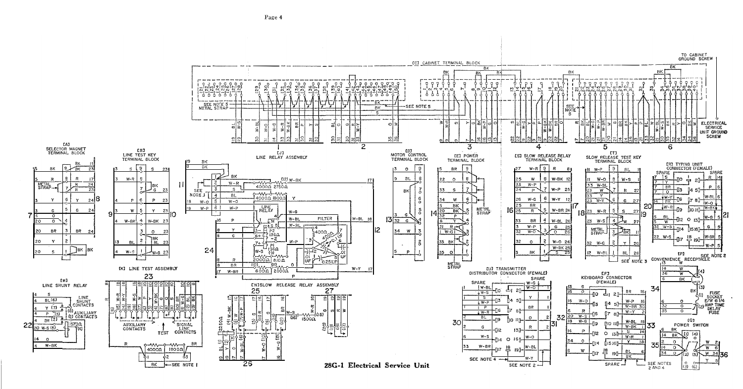